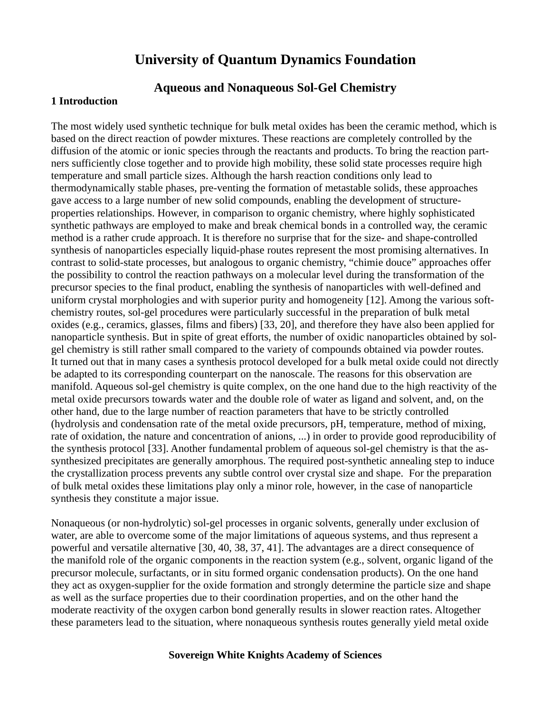### **Aqueous and Nonaqueous Sol-Gel Chemistry**

#### **1 Introduction**

The most widely used synthetic technique for bulk metal oxides has been the ceramic method, which is based on the direct reaction of powder mixtures. These reactions are completely controlled by the diffusion of the atomic or ionic species through the reactants and products. To bring the reaction partners sufficiently close together and to provide high mobility, these solid state processes require high temperature and small particle sizes. Although the harsh reaction conditions only lead to thermodynamically stable phases, pre-venting the formation of metastable solids, these approaches gave access to a large number of new solid compounds, enabling the development of structureproperties relationships. However, in comparison to organic chemistry, where highly sophisticated synthetic pathways are employed to make and break chemical bonds in a controlled way, the ceramic method is a rather crude approach. It is therefore no surprise that for the size- and shape-controlled synthesis of nanoparticles especially liquid-phase routes represent the most promising alternatives. In contrast to solid-state processes, but analogous to organic chemistry, "chimie douce" approaches offer the possibility to control the reaction pathways on a molecular level during the transformation of the precursor species to the final product, enabling the synthesis of nanoparticles with well-defined and uniform crystal morphologies and with superior purity and homogeneity [12]. Among the various softchemistry routes, sol-gel procedures were particularly successful in the preparation of bulk metal oxides (e.g., ceramics, glasses, films and fibers) [33, 20], and therefore they have also been applied for nanoparticle synthesis. But in spite of great efforts, the number of oxidic nanoparticles obtained by solgel chemistry is still rather small compared to the variety of compounds obtained via powder routes. It turned out that in many cases a synthesis protocol developed for a bulk metal oxide could not directly be adapted to its corresponding counterpart on the nanoscale. The reasons for this observation are manifold. Aqueous sol-gel chemistry is quite complex, on the one hand due to the high reactivity of the metal oxide precursors towards water and the double role of water as ligand and solvent, and, on the other hand, due to the large number of reaction parameters that have to be strictly controlled (hydrolysis and condensation rate of the metal oxide precursors, pH, temperature, method of mixing, rate of oxidation, the nature and concentration of anions, ...) in order to provide good reproducibility of the synthesis protocol [33]. Another fundamental problem of aqueous sol-gel chemistry is that the assynthesized precipitates are generally amorphous. The required post-synthetic annealing step to induce the crystallization process prevents any subtle control over crystal size and shape. For the preparation of bulk metal oxides these limitations play only a minor role, however, in the case of nanoparticle synthesis they constitute a major issue.

Nonaqueous (or non-hydrolytic) sol-gel processes in organic solvents, generally under exclusion of water, are able to overcome some of the major limitations of aqueous systems, and thus represent a powerful and versatile alternative [30, 40, 38, 37, 41]. The advantages are a direct consequence of the manifold role of the organic components in the reaction system (e.g., solvent, organic ligand of the precursor molecule, surfactants, or in situ formed organic condensation products). On the one hand they act as oxygen-supplier for the oxide formation and strongly determine the particle size and shape as well as the surface properties due to their coordination properties, and on the other hand the moderate reactivity of the oxygen carbon bond generally results in slower reaction rates. Altogether these parameters lead to the situation, where nonaqueous synthesis routes generally yield metal oxide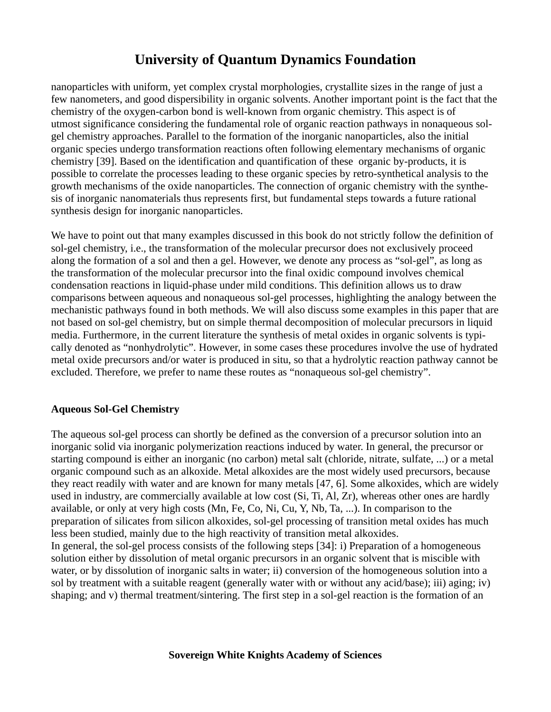nanoparticles with uniform, yet complex crystal morphologies, crystallite sizes in the range of just a few nanometers, and good dispersibility in organic solvents. Another important point is the fact that the chemistry of the oxygen-carbon bond is well-known from organic chemistry. This aspect is of utmost significance considering the fundamental role of organic reaction pathways in nonaqueous solgel chemistry approaches. Parallel to the formation of the inorganic nanoparticles, also the initial organic species undergo transformation reactions often following elementary mechanisms of organic chemistry [39]. Based on the identification and quantification of these organic by-products, it is possible to correlate the processes leading to these organic species by retro-synthetical analysis to the growth mechanisms of the oxide nanoparticles. The connection of organic chemistry with the synthesis of inorganic nanomaterials thus represents first, but fundamental steps towards a future rational synthesis design for inorganic nanoparticles.

We have to point out that many examples discussed in this book do not strictly follow the definition of sol-gel chemistry, i.e., the transformation of the molecular precursor does not exclusively proceed along the formation of a sol and then a gel. However, we denote any process as "sol-gel", as long as the transformation of the molecular precursor into the final oxidic compound involves chemical condensation reactions in liquid-phase under mild conditions. This definition allows us to draw comparisons between aqueous and nonaqueous sol-gel processes, highlighting the analogy between the mechanistic pathways found in both methods. We will also discuss some examples in this paper that are not based on sol-gel chemistry, but on simple thermal decomposition of molecular precursors in liquid media. Furthermore, in the current literature the synthesis of metal oxides in organic solvents is typically denoted as "nonhydrolytic". However, in some cases these procedures involve the use of hydrated metal oxide precursors and/or water is produced in situ, so that a hydrolytic reaction pathway cannot be excluded. Therefore, we prefer to name these routes as "nonaqueous sol-gel chemistry".

#### **Aqueous Sol-Gel Chemistry**

The aqueous sol-gel process can shortly be defined as the conversion of a precursor solution into an inorganic solid via inorganic polymerization reactions induced by water. In general, the precursor or starting compound is either an inorganic (no carbon) metal salt (chloride, nitrate, sulfate, ...) or a metal organic compound such as an alkoxide. Metal alkoxides are the most widely used precursors, because they react readily with water and are known for many metals [47, 6]. Some alkoxides, which are widely used in industry, are commercially available at low cost (Si, Ti, Al, Zr), whereas other ones are hardly available, or only at very high costs (Mn, Fe, Co, Ni, Cu, Y, Nb, Ta, ...). In comparison to the preparation of silicates from silicon alkoxides, sol-gel processing of transition metal oxides has much less been studied, mainly due to the high reactivity of transition metal alkoxides. In general, the sol-gel process consists of the following steps [34]: i) Preparation of a homogeneous solution either by dissolution of metal organic precursors in an organic solvent that is miscible with water, or by dissolution of inorganic salts in water; ii) conversion of the homogeneous solution into a sol by treatment with a suitable reagent (generally water with or without any acid/base); iii) aging; iv) shaping; and v) thermal treatment/sintering. The first step in a sol-gel reaction is the formation of an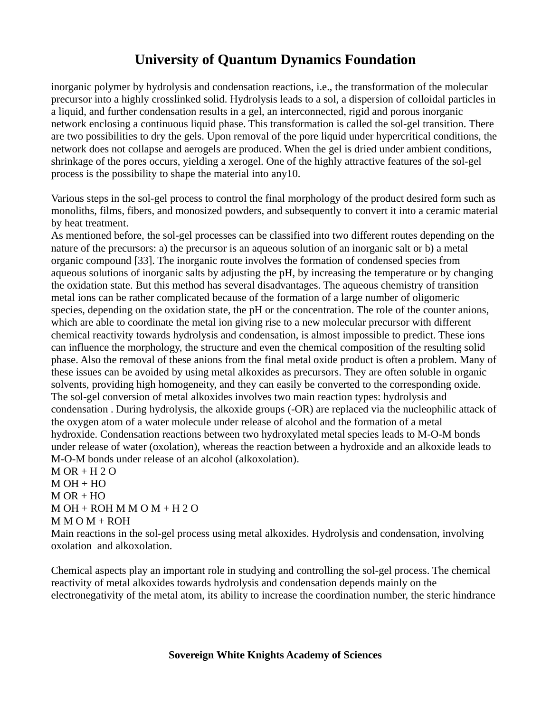inorganic polymer by hydrolysis and condensation reactions, i.e., the transformation of the molecular precursor into a highly crosslinked solid. Hydrolysis leads to a sol, a dispersion of colloidal particles in a liquid, and further condensation results in a gel, an interconnected, rigid and porous inorganic network enclosing a continuous liquid phase. This transformation is called the sol-gel transition. There are two possibilities to dry the gels. Upon removal of the pore liquid under hypercritical conditions, the network does not collapse and aerogels are produced. When the gel is dried under ambient conditions, shrinkage of the pores occurs, yielding a xerogel. One of the highly attractive features of the sol-gel process is the possibility to shape the material into any10.

Various steps in the sol-gel process to control the final morphology of the product desired form such as monoliths, films, fibers, and monosized powders, and subsequently to convert it into a ceramic material by heat treatment.

As mentioned before, the sol-gel processes can be classified into two different routes depending on the nature of the precursors: a) the precursor is an aqueous solution of an inorganic salt or b) a metal organic compound [33]. The inorganic route involves the formation of condensed species from aqueous solutions of inorganic salts by adjusting the pH, by increasing the temperature or by changing the oxidation state. But this method has several disadvantages. The aqueous chemistry of transition metal ions can be rather complicated because of the formation of a large number of oligomeric species, depending on the oxidation state, the pH or the concentration. The role of the counter anions, which are able to coordinate the metal ion giving rise to a new molecular precursor with different chemical reactivity towards hydrolysis and condensation, is almost impossible to predict. These ions can influence the morphology, the structure and even the chemical composition of the resulting solid phase. Also the removal of these anions from the final metal oxide product is often a problem. Many of these issues can be avoided by using metal alkoxides as precursors. They are often soluble in organic solvents, providing high homogeneity, and they can easily be converted to the corresponding oxide. The sol-gel conversion of metal alkoxides involves two main reaction types: hydrolysis and condensation . During hydrolysis, the alkoxide groups (-OR) are replaced via the nucleophilic attack of the oxygen atom of a water molecule under release of alcohol and the formation of a metal hydroxide. Condensation reactions between two hydroxylated metal species leads to M-O-M bonds under release of water (oxolation), whereas the reaction between a hydroxide and an alkoxide leads to M-O-M bonds under release of an alcohol (alkoxolation).  $M$  OR + H 2 O

M OH + HO  $M$  OR  $+$  HO  $M$  OH + ROH M M O M + H 2 O  $M M O M + ROH$ Main reactions in the sol-gel process using metal alkoxides. Hydrolysis and condensation, involving

oxolation and alkoxolation.

Chemical aspects play an important role in studying and controlling the sol-gel process. The chemical reactivity of metal alkoxides towards hydrolysis and condensation depends mainly on the electronegativity of the metal atom, its ability to increase the coordination number, the steric hindrance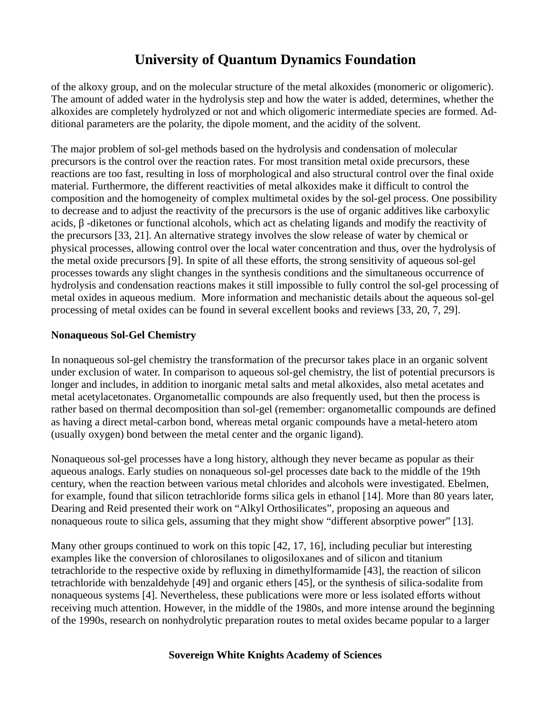of the alkoxy group, and on the molecular structure of the metal alkoxides (monomeric or oligomeric). The amount of added water in the hydrolysis step and how the water is added, determines, whether the alkoxides are completely hydrolyzed or not and which oligomeric intermediate species are formed. Additional parameters are the polarity, the dipole moment, and the acidity of the solvent.

The major problem of sol-gel methods based on the hydrolysis and condensation of molecular precursors is the control over the reaction rates. For most transition metal oxide precursors, these reactions are too fast, resulting in loss of morphological and also structural control over the final oxide material. Furthermore, the different reactivities of metal alkoxides make it difficult to control the composition and the homogeneity of complex multimetal oxides by the sol-gel process. One possibility to decrease and to adjust the reactivity of the precursors is the use of organic additives like carboxylic acids, β -diketones or functional alcohols, which act as chelating ligands and modify the reactivity of the precursors [33, 21]. An alternative strategy involves the slow release of water by chemical or physical processes, allowing control over the local water concentration and thus, over the hydrolysis of the metal oxide precursors [9]. In spite of all these efforts, the strong sensitivity of aqueous sol-gel processes towards any slight changes in the synthesis conditions and the simultaneous occurrence of hydrolysis and condensation reactions makes it still impossible to fully control the sol-gel processing of metal oxides in aqueous medium. More information and mechanistic details about the aqueous sol-gel processing of metal oxides can be found in several excellent books and reviews [33, 20, 7, 29].

#### **Nonaqueous Sol-Gel Chemistry**

In nonaqueous sol-gel chemistry the transformation of the precursor takes place in an organic solvent under exclusion of water. In comparison to aqueous sol-gel chemistry, the list of potential precursors is longer and includes, in addition to inorganic metal salts and metal alkoxides, also metal acetates and metal acetylacetonates. Organometallic compounds are also frequently used, but then the process is rather based on thermal decomposition than sol-gel (remember: organometallic compounds are defined as having a direct metal-carbon bond, whereas metal organic compounds have a metal-hetero atom (usually oxygen) bond between the metal center and the organic ligand).

Nonaqueous sol-gel processes have a long history, although they never became as popular as their aqueous analogs. Early studies on nonaqueous sol-gel processes date back to the middle of the 19th century, when the reaction between various metal chlorides and alcohols were investigated. Ebelmen, for example, found that silicon tetrachloride forms silica gels in ethanol [14]. More than 80 years later, Dearing and Reid presented their work on "Alkyl Orthosilicates", proposing an aqueous and nonaqueous route to silica gels, assuming that they might show "different absorptive power" [13].

Many other groups continued to work on this topic [42, 17, 16], including peculiar but interesting examples like the conversion of chlorosilanes to oligosiloxanes and of silicon and titanium tetrachloride to the respective oxide by refluxing in dimethylformamide [43], the reaction of silicon tetrachloride with benzaldehyde [49] and organic ethers [45], or the synthesis of silica-sodalite from nonaqueous systems [4]. Nevertheless, these publications were more or less isolated efforts without receiving much attention. However, in the middle of the 1980s, and more intense around the beginning of the 1990s, research on nonhydrolytic preparation routes to metal oxides became popular to a larger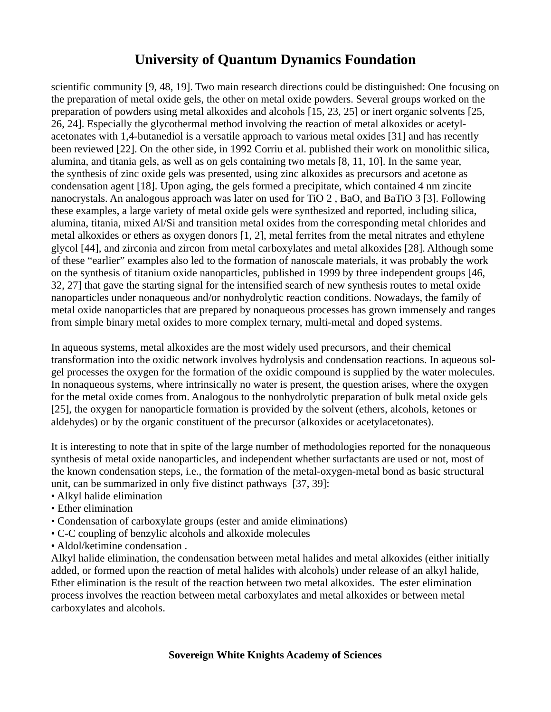scientific community [9, 48, 19]. Two main research directions could be distinguished: One focusing on the preparation of metal oxide gels, the other on metal oxide powders. Several groups worked on the preparation of powders using metal alkoxides and alcohols [15, 23, 25] or inert organic solvents [25, 26, 24]. Especially the glycothermal method involving the reaction of metal alkoxides or acetylacetonates with 1,4-butanediol is a versatile approach to various metal oxides [31] and has recently been reviewed [22]. On the other side, in 1992 Corriu et al. published their work on monolithic silica, alumina, and titania gels, as well as on gels containing two metals [8, 11, 10]. In the same year, the synthesis of zinc oxide gels was presented, using zinc alkoxides as precursors and acetone as condensation agent [18]. Upon aging, the gels formed a precipitate, which contained 4 nm zincite nanocrystals. An analogous approach was later on used for TiO 2 , BaO, and BaTiO 3 [3]. Following these examples, a large variety of metal oxide gels were synthesized and reported, including silica, alumina, titania, mixed Al/Si and transition metal oxides from the corresponding metal chlorides and metal alkoxides or ethers as oxygen donors [1, 2], metal ferrites from the metal nitrates and ethylene glycol [44], and zirconia and zircon from metal carboxylates and metal alkoxides [28]. Although some of these "earlier" examples also led to the formation of nanoscale materials, it was probably the work on the synthesis of titanium oxide nanoparticles, published in 1999 by three independent groups [46, 32, 27] that gave the starting signal for the intensified search of new synthesis routes to metal oxide nanoparticles under nonaqueous and/or nonhydrolytic reaction conditions. Nowadays, the family of metal oxide nanoparticles that are prepared by nonaqueous processes has grown immensely and ranges from simple binary metal oxides to more complex ternary, multi-metal and doped systems.

In aqueous systems, metal alkoxides are the most widely used precursors, and their chemical transformation into the oxidic network involves hydrolysis and condensation reactions. In aqueous solgel processes the oxygen for the formation of the oxidic compound is supplied by the water molecules. In nonaqueous systems, where intrinsically no water is present, the question arises, where the oxygen for the metal oxide comes from. Analogous to the nonhydrolytic preparation of bulk metal oxide gels [25], the oxygen for nanoparticle formation is provided by the solvent (ethers, alcohols, ketones or aldehydes) or by the organic constituent of the precursor (alkoxides or acetylacetonates).

It is interesting to note that in spite of the large number of methodologies reported for the nonaqueous synthesis of metal oxide nanoparticles, and independent whether surfactants are used or not, most of the known condensation steps, i.e., the formation of the metal-oxygen-metal bond as basic structural unit, can be summarized in only five distinct pathways [37, 39]:

- Alkyl halide elimination
- Ether elimination
- Condensation of carboxylate groups (ester and amide eliminations)
- C-C coupling of benzylic alcohols and alkoxide molecules
- Aldol/ketimine condensation .

Alkyl halide elimination, the condensation between metal halides and metal alkoxides (either initially added, or formed upon the reaction of metal halides with alcohols) under release of an alkyl halide, Ether elimination is the result of the reaction between two metal alkoxides. The ester elimination process involves the reaction between metal carboxylates and metal alkoxides or between metal carboxylates and alcohols.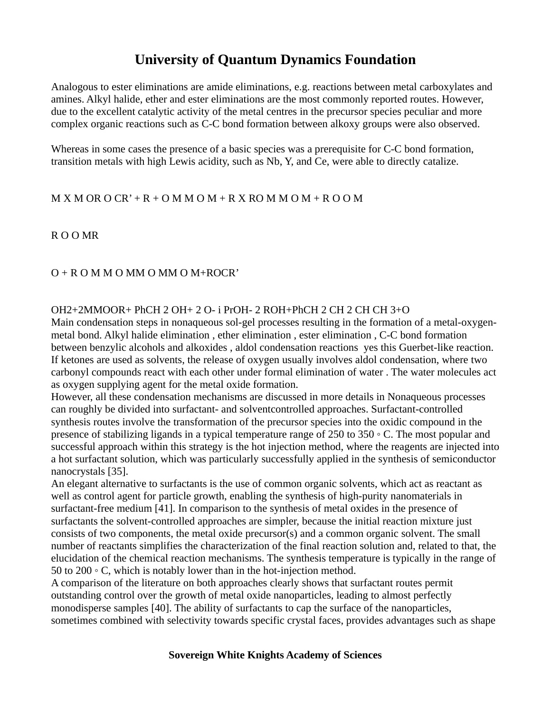Analogous to ester eliminations are amide eliminations, e.g. reactions between metal carboxylates and amines. Alkyl halide, ether and ester eliminations are the most commonly reported routes. However, due to the excellent catalytic activity of the metal centres in the precursor species peculiar and more complex organic reactions such as C-C bond formation between alkoxy groups were also observed.

Whereas in some cases the presence of a basic species was a prerequisite for C-C bond formation, transition metals with high Lewis acidity, such as Nb, Y, and Ce, were able to directly catalize.

### $M X M OR O CR' + R + O M M O M + R X RO M M O M + R O O M$

R O O MR

#### O + R O M M O MM O MM O M+ROCR'

#### OH2+2MMOOR+ PhCH 2 OH+ 2 O- i PrOH- 2 ROH+PhCH 2 CH 2 CH CH 3+O

Main condensation steps in nonaqueous sol-gel processes resulting in the formation of a metal-oxygenmetal bond. Alkyl halide elimination , ether elimination , ester elimination , C-C bond formation between benzylic alcohols and alkoxides , aldol condensation reactions yes this Guerbet-like reaction. If ketones are used as solvents, the release of oxygen usually involves aldol condensation, where two carbonyl compounds react with each other under formal elimination of water . The water molecules act as oxygen supplying agent for the metal oxide formation.

However, all these condensation mechanisms are discussed in more details in Nonaqueous processes can roughly be divided into surfactant- and solventcontrolled approaches. Surfactant-controlled synthesis routes involve the transformation of the precursor species into the oxidic compound in the presence of stabilizing ligands in a typical temperature range of 250 to 350 ∘ C. The most popular and successful approach within this strategy is the hot injection method, where the reagents are injected into a hot surfactant solution, which was particularly successfully applied in the synthesis of semiconductor nanocrystals [35].

An elegant alternative to surfactants is the use of common organic solvents, which act as reactant as well as control agent for particle growth, enabling the synthesis of high-purity nanomaterials in surfactant-free medium [41]. In comparison to the synthesis of metal oxides in the presence of surfactants the solvent-controlled approaches are simpler, because the initial reaction mixture just consists of two components, the metal oxide precursor(s) and a common organic solvent. The small number of reactants simplifies the characterization of the final reaction solution and, related to that, the elucidation of the chemical reaction mechanisms. The synthesis temperature is typically in the range of 50 to 200  $\circ$  C, which is notably lower than in the hot-injection method.

A comparison of the literature on both approaches clearly shows that surfactant routes permit outstanding control over the growth of metal oxide nanoparticles, leading to almost perfectly monodisperse samples [40]. The ability of surfactants to cap the surface of the nanoparticles, sometimes combined with selectivity towards specific crystal faces, provides advantages such as shape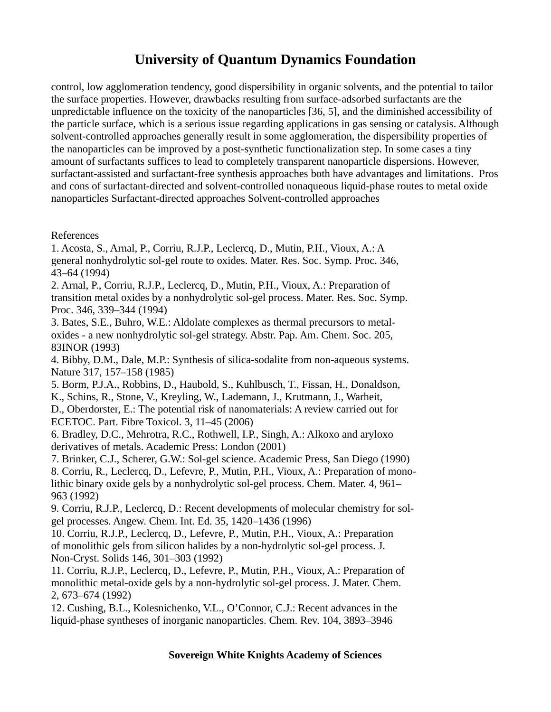control, low agglomeration tendency, good dispersibility in organic solvents, and the potential to tailor the surface properties. However, drawbacks resulting from surface-adsorbed surfactants are the unpredictable influence on the toxicity of the nanoparticles [36, 5], and the diminished accessibility of the particle surface, which is a serious issue regarding applications in gas sensing or catalysis. Although solvent-controlled approaches generally result in some agglomeration, the dispersibility properties of the nanoparticles can be improved by a post-synthetic functionalization step. In some cases a tiny amount of surfactants suffices to lead to completely transparent nanoparticle dispersions. However, surfactant-assisted and surfactant-free synthesis approaches both have advantages and limitations. Pros and cons of surfactant-directed and solvent-controlled nonaqueous liquid-phase routes to metal oxide nanoparticles Surfactant-directed approaches Solvent-controlled approaches

References

1. Acosta, S., Arnal, P., Corriu, R.J.P., Leclercq, D., Mutin, P.H., Vioux, A.: A general nonhydrolytic sol-gel route to oxides. Mater. Res. Soc. Symp. Proc. 346, 43–64 (1994)

2. Arnal, P., Corriu, R.J.P., Leclercq, D., Mutin, P.H., Vioux, A.: Preparation of transition metal oxides by a nonhydrolytic sol-gel process. Mater. Res. Soc. Symp. Proc. 346, 339–344 (1994)

3. Bates, S.E., Buhro, W.E.: Aldolate complexes as thermal precursors to metaloxides - a new nonhydrolytic sol-gel strategy. Abstr. Pap. Am. Chem. Soc. 205, 83INOR (1993)

4. Bibby, D.M., Dale, M.P.: Synthesis of silica-sodalite from non-aqueous systems. Nature 317, 157–158 (1985)

5. Borm, P.J.A., Robbins, D., Haubold, S., Kuhlbusch, T., Fissan, H., Donaldson, K., Schins, R., Stone, V., Kreyling, W., Lademann, J., Krutmann, J., Warheit, D., Oberdorster, E.: The potential risk of nanomaterials: A review carried out for

ECETOC. Part. Fibre Toxicol. 3, 11–45 (2006)

6. Bradley, D.C., Mehrotra, R.C., Rothwell, I.P., Singh, A.: Alkoxo and aryloxo derivatives of metals. Academic Press: London (2001)

7. Brinker, C.J., Scherer, G.W.: Sol-gel science. Academic Press, San Diego (1990) 8. Corriu, R., Leclercq, D., Lefevre, P., Mutin, P.H., Vioux, A.: Preparation of monolithic binary oxide gels by a nonhydrolytic sol-gel process. Chem. Mater. 4, 961– 963 (1992)

9. Corriu, R.J.P., Leclercq, D.: Recent developments of molecular chemistry for solgel processes. Angew. Chem. Int. Ed. 35, 1420–1436 (1996)

10. Corriu, R.J.P., Leclercq, D., Lefevre, P., Mutin, P.H., Vioux, A.: Preparation of monolithic gels from silicon halides by a non-hydrolytic sol-gel process. J. Non-Cryst. Solids 146, 301–303 (1992)

11. Corriu, R.J.P., Leclercq, D., Lefevre, P., Mutin, P.H., Vioux, A.: Preparation of monolithic metal-oxide gels by a non-hydrolytic sol-gel process. J. Mater. Chem. 2, 673–674 (1992)

12. Cushing, B.L., Kolesnichenko, V.L., O'Connor, C.J.: Recent advances in the liquid-phase syntheses of inorganic nanoparticles. Chem. Rev. 104, 3893–3946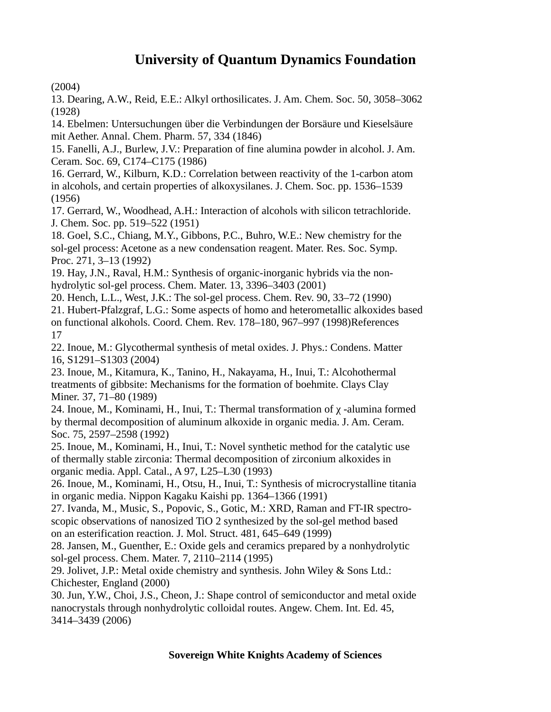(2004)

13. Dearing, A.W., Reid, E.E.: Alkyl orthosilicates. J. Am. Chem. Soc. 50, 3058–3062 (1928)

14. Ebelmen: Untersuchungen über die Verbindungen der Borsäure und Kieselsäure mit Aether. Annal. Chem. Pharm. 57, 334 (1846)

15. Fanelli, A.J., Burlew, J.V.: Preparation of fine alumina powder in alcohol. J. Am. Ceram. Soc. 69, C174–C175 (1986)

16. Gerrard, W., Kilburn, K.D.: Correlation between reactivity of the 1-carbon atom in alcohols, and certain properties of alkoxysilanes. J. Chem. Soc. pp. 1536–1539 (1956)

17. Gerrard, W., Woodhead, A.H.: Interaction of alcohols with silicon tetrachloride. J. Chem. Soc. pp. 519–522 (1951)

18. Goel, S.C., Chiang, M.Y., Gibbons, P.C., Buhro, W.E.: New chemistry for the sol-gel process: Acetone as a new condensation reagent. Mater. Res. Soc. Symp. Proc. 271, 3–13 (1992)

19. Hay, J.N., Raval, H.M.: Synthesis of organic-inorganic hybrids via the nonhydrolytic sol-gel process. Chem. Mater. 13, 3396–3403 (2001)

20. Hench, L.L., West, J.K.: The sol-gel process. Chem. Rev. 90, 33–72 (1990) 21. Hubert-Pfalzgraf, L.G.: Some aspects of homo and heterometallic alkoxides based on functional alkohols. Coord. Chem. Rev. 178–180, 967–997 (1998)References 17

22. Inoue, M.: Glycothermal synthesis of metal oxides. J. Phys.: Condens. Matter 16, S1291–S1303 (2004)

23. Inoue, M., Kitamura, K., Tanino, H., Nakayama, H., Inui, T.: Alcohothermal treatments of gibbsite: Mechanisms for the formation of boehmite. Clays Clay Miner. 37, 71–80 (1989)

24. Inoue, M., Kominami, H., Inui, T.: Thermal transformation of χ -alumina formed by thermal decomposition of aluminum alkoxide in organic media. J. Am. Ceram. Soc. 75, 2597–2598 (1992)

25. Inoue, M., Kominami, H., Inui, T.: Novel synthetic method for the catalytic use of thermally stable zirconia: Thermal decomposition of zirconium alkoxides in organic media. Appl. Catal., A 97, L25–L30 (1993)

26. Inoue, M., Kominami, H., Otsu, H., Inui, T.: Synthesis of microcrystalline titania in organic media. Nippon Kagaku Kaishi pp. 1364–1366 (1991)

27. Ivanda, M., Music, S., Popovic, S., Gotic, M.: XRD, Raman and FT-IR spectroscopic observations of nanosized TiO 2 synthesized by the sol-gel method based on an esterification reaction. J. Mol. Struct. 481, 645–649 (1999)

28. Jansen, M., Guenther, E.: Oxide gels and ceramics prepared by a nonhydrolytic sol-gel process. Chem. Mater. 7, 2110–2114 (1995)

29. Jolivet, J.P.: Metal oxide chemistry and synthesis. John Wiley & Sons Ltd.: Chichester, England (2000)

30. Jun, Y.W., Choi, J.S., Cheon, J.: Shape control of semiconductor and metal oxide nanocrystals through nonhydrolytic colloidal routes. Angew. Chem. Int. Ed. 45, 3414–3439 (2006)